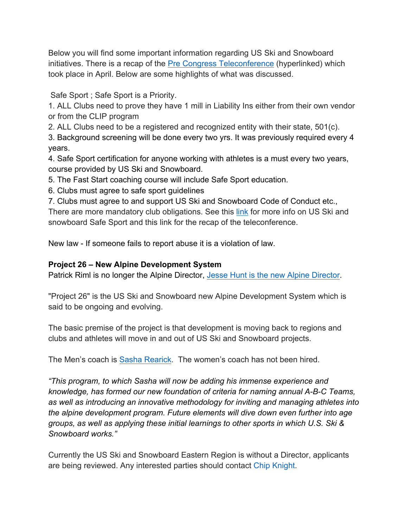Below you will find some important information regarding US Ski and Snowboard initiatives. There is a recap of the Pre Congress Teleconference (hyperlinked) which took place in April. Below are some highlights of what was discussed.

Safe Sport ; Safe Sport is a Priority.

1. ALL Clubs need to prove they have 1 mill in Liability Ins either from their own vendor or from the CLIP program

2. ALL Clubs need to be a registered and recognized entity with their state, 501(c).

3. Background screening will be done every two yrs. It was previously required every 4 years.

4. Safe Sport certification for anyone working with athletes is a must every two years, course provided by US Ski and Snowboard.

5. The Fast Start coaching course will include Safe Sport education.

6. Clubs must agree to safe sport guidelines

7. Clubs must agree to and support US Ski and Snowboard Code of Conduct etc., There are more mandatory club obligations. See this link for more info on US Ski and

snowboard Safe Sport and this link for the recap of the teleconference.

New law - If someone fails to report abuse it is a violation of law.

## **Project 26 – New Alpine Development System**

Patrick Riml is no longer the Alpine Director, Jesse Hunt is the new Alpine Director.

"Project 26" is the US Ski and Snowboard new Alpine Development System which is said to be ongoing and evolving.

The basic premise of the project is that development is moving back to regions and clubs and athletes will move in and out of US Ski and Snowboard projects.

The Men's coach is Sasha Rearick. The women's coach has not been hired.

*"This program, to which Sasha will now be adding his immense experience and knowledge, has formed our new foundation of criteria for naming annual A-B-C Teams, as well as introducing an innovative methodology for inviting and managing athletes into the alpine development program. Future elements will dive down even further into age groups, as well as applying these initial learnings to other sports in which U.S. Ski & Snowboard works."*

Currently the US Ski and Snowboard Eastern Region is without a Director, applicants are being reviewed. Any interested parties should contact Chip Knight.